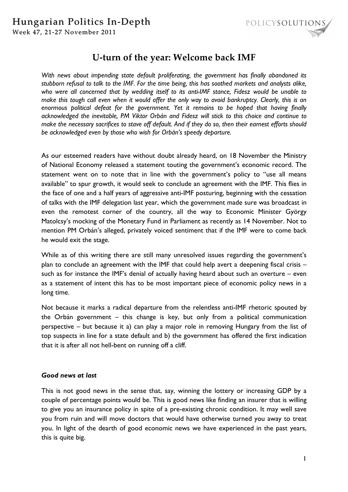

# **U-turn of the year: Welcome back IMF**

*With news about impending state default proliferating, the government has finally abandoned its stubborn refusal to talk to the IMF. For the time being, this has soothed markets and analysts alike, who were all concerned that by wedding itself to its anti-IMF stance, Fidesz would be unable to make this tough call even when it would offer the only way to avoid bankruptcy. Clearly, this is an enormous political defeat for the government. Yet it remains to be hoped that having finally acknowledged the inevitable, PM Viktor Orbán and Fidesz will stick to this choice and continue to make the necessary sacrifices to stave off default. And if they do so, then their earnest efforts should be acknowledged even by those who wish for Orbán's speedy departure.* 

As our esteemed readers have without doubt already heard, on 18 November the Ministry of National Economy released a statement touting the government's economic record. The statement went on to note that in line with the government's policy to "use all means available" to spur growth, it would seek to conclude an agreement with the IMF. This flies in the face of one and a half years of aggressive anti-IMF posturing, beginning with the cessation of talks with the IMF delegation last year, which the government made sure was broadcast in even the remotest corner of the country, all the way to Economic Minister György Matolcsy's mocking of the Monetary Fund in Parliament as recently as 14 November. Not to mention PM Orbán's alleged, privately voiced sentiment that if the IMF were to come back he would exit the stage.

While as of this writing there are still many unresolved issues regarding the government's plan to conclude an agreement with the IMF that could help avert a deepening fiscal crisis – such as for instance the IMF's denial of actually having heard about such an overture – even as a statement of intent this has to be most important piece of economic policy news in a long time.

Not because it marks a radical departure from the relentless anti-IMF rhetoric spouted by the Orbán government – this change is key, but only from a political communication perspective – but because it a) can play a major role in removing Hungary from the list of top suspects in line for a state default and b) the government has offered the first indication that it is after all not hell-bent on running off a cliff.

## *Good news at last*

This is not good news in the sense that, say, winning the lottery or increasing GDP by a couple of percentage points would be. This is good news like finding an insurer that is willing to give you an insurance policy in spite of a pre-existing chronic condition. It may well save you from ruin and will move doctors that would have otherwise turned you away to treat you. In light of the dearth of good economic news we have experienced in the past years, this is quite big.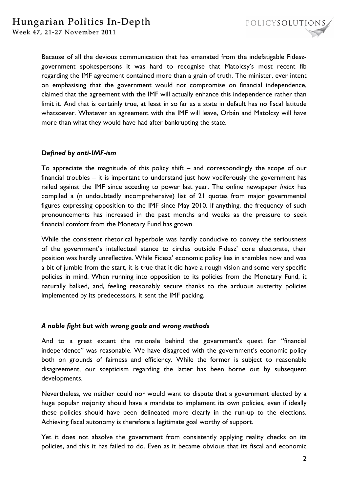

Because of all the devious communication that has emanated from the indefatigable Fideszgovernment spokespersons it was hard to recognise that Matolcsy's most recent fib regarding the IMF agreement contained more than a grain of truth. The minister, ever intent on emphasising that the government would not compromise on financial independence, claimed that the agreement with the IMF will actually enhance this independence rather than limit it. And that is certainly true, at least in so far as a state in default has no fiscal latitude whatsoever. Whatever an agreement with the IMF will leave, Orbán and Matolcsy will have more than what they would have had after bankrupting the state.

## *Defined by anti-IMF-ism*

To appreciate the magnitude of this policy shift – and correspondingly the scope of our financial troubles – it is important to understand just how vociferously the government has railed against the IMF since acceding to power last year. The online newspaper *Index* has compiled a (n undoubtedly incomprehensive) list of 21 quotes from major governmental figures expressing opposition to the IMF since May 2010. If anything, the frequency of such pronouncements has increased in the past months and weeks as the pressure to seek financial comfort from the Monetary Fund has grown.

While the consistent rhetorical hyperbole was hardly conducive to convey the seriousness of the government's intellectual stance to circles outside Fidesz' core electorate, their position was hardly unreflective. While Fidesz' economic policy lies in shambles now and was a bit of jumble from the start, it is true that it did have a rough vision and some very specific policies in mind. When running into opposition to its policies from the Monetary Fund, it naturally balked, and, feeling reasonably secure thanks to the arduous austerity policies implemented by its predecessors, it sent the IMF packing.

## *A noble fight but with wrong goals and wrong methods*

And to a great extent the rationale behind the government's quest for "financial independence" was reasonable. We have disagreed with the government's economic policy both on grounds of fairness and efficiency. While the former is subject to reasonable disagreement, our scepticism regarding the latter has been borne out by subsequent developments.

Nevertheless, we neither could nor would want to dispute that a government elected by a huge popular majority should have a mandate to implement its own policies, even if ideally these policies should have been delineated more clearly in the run-up to the elections. Achieving fiscal autonomy is therefore a legitimate goal worthy of support.

Yet it does not absolve the government from consistently applying reality checks on its policies, and this it has failed to do. Even as it became obvious that its fiscal and economic